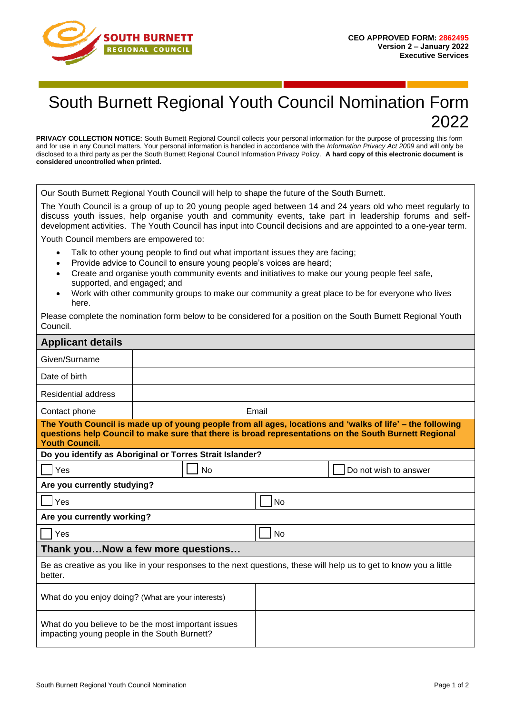

## South Burnett Regional Youth Council Nomination Form 2022

**PRIVACY COLLECTION NOTICE:** South Burnett Regional Council collects your personal information for the purpose of processing this form and for use in any Council matters. Your personal information is handled in accordance with the *Information Privacy Act 2009* and will only be disclosed to a third party as per the South Burnett Regional Council Information Privacy Policy. **A hard copy of this electronic document is considered uncontrolled when printed.**

Our South Burnett Regional Youth Council will help to shape the future of the South Burnett.

The Youth Council is a group of up to 20 young people aged between 14 and 24 years old who meet regularly to discuss youth issues, help organise youth and community events, take part in leadership forums and selfdevelopment activities. The Youth Council has input into Council decisions and are appointed to a one-year term.

Youth Council members are empowered to:

- Talk to other young people to find out what important issues they are facing;
- Provide advice to Council to ensure young people's voices are heard;
- Create and organise youth community events and initiatives to make our young people feel safe, supported, and engaged; and
- Work with other community groups to make our community a great place to be for everyone who lives here.

Please complete the nomination form below to be considered for a position on the South Burnett Regional Youth Council.

| <b>Applicant details</b>                                                                                                                                                                                                                    |  |           |       |                 |                       |  |
|---------------------------------------------------------------------------------------------------------------------------------------------------------------------------------------------------------------------------------------------|--|-----------|-------|-----------------|-----------------------|--|
| Given/Surname                                                                                                                                                                                                                               |  |           |       |                 |                       |  |
| Date of birth                                                                                                                                                                                                                               |  |           |       |                 |                       |  |
| Residential address                                                                                                                                                                                                                         |  |           |       |                 |                       |  |
| Contact phone                                                                                                                                                                                                                               |  |           | Email |                 |                       |  |
| The Youth Council is made up of young people from all ages, locations and 'walks of life' - the following<br>questions help Council to make sure that there is broad representations on the South Burnett Regional<br><b>Youth Council.</b> |  |           |       |                 |                       |  |
| Do you identify as Aboriginal or Torres Strait Islander?                                                                                                                                                                                    |  |           |       |                 |                       |  |
| Yes                                                                                                                                                                                                                                         |  | <b>No</b> |       |                 | Do not wish to answer |  |
| Are you currently studying?                                                                                                                                                                                                                 |  |           |       |                 |                       |  |
| Yes                                                                                                                                                                                                                                         |  |           |       | 1 <sub>No</sub> |                       |  |
| Are you currently working?                                                                                                                                                                                                                  |  |           |       |                 |                       |  |
| Yes                                                                                                                                                                                                                                         |  |           |       | <b>No</b>       |                       |  |
| Thank youNow a few more questions                                                                                                                                                                                                           |  |           |       |                 |                       |  |
| Be as creative as you like in your responses to the next questions, these will help us to get to know you a little<br>better.                                                                                                               |  |           |       |                 |                       |  |
| What do you enjoy doing? (What are your interests)                                                                                                                                                                                          |  |           |       |                 |                       |  |
| What do you believe to be the most important issues<br>impacting young people in the South Burnett?                                                                                                                                         |  |           |       |                 |                       |  |